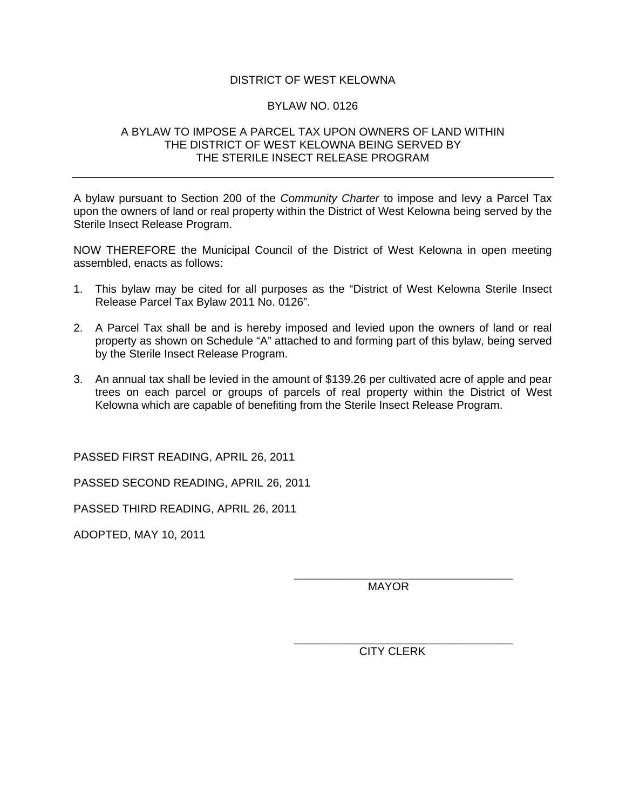## DISTRICT OF WEST KELOWNA

## BYLAW NO. 0126

## A BYLAW TO IMPOSE A PARCEL TAX UPON OWNERS OF LAND WITHIN THE DISTRICT OF WEST KELOWNA BEING SERVED BY THE STERILE INSECT RELEASE PROGRAM

A bylaw pursuant to Section 200 of the *Community Charter* to impose and levy a Parcel Tax upon the owners of land or real property within the District of West Kelowna being served by the Sterile Insect Release Program.

NOW THEREFORE the Municipal Council of the District of West Kelowna in open meeting assembled, enacts as follows:

- 1. This bylaw may be cited for all purposes as the "District of West Kelowna Sterile Insect Release Parcel Tax Bylaw 2011 No. 0126".
- 2. A Parcel Tax shall be and is hereby imposed and levied upon the owners of land or real property as shown on Schedule "A" attached to and forming part of this bylaw, being served by the Sterile Insect Release Program.
- 3. An annual tax shall be levied in the amount of \$139.26 per cultivated acre of apple and pear trees on each parcel or groups of parcels of real property within the District of West Kelowna which are capable of benefiting from the Sterile Insect Release Program.

 $\overline{\phantom{a}}$  , which is a set of the contract of the contract of the contract of the contract of the contract of the contract of the contract of the contract of the contract of the contract of the contract of the contract

 $\overline{\phantom{a}}$  , which is a set of the contract of the contract of the contract of the contract of the contract of the contract of the contract of the contract of the contract of the contract of the contract of the contract

PASSED FIRST READING, APRIL 26, 2011

PASSED SECOND READING, APRIL 26, 2011

PASSED THIRD READING, APRIL 26, 2011

ADOPTED, MAY 10, 2011

MAYOR

CITY CLERK